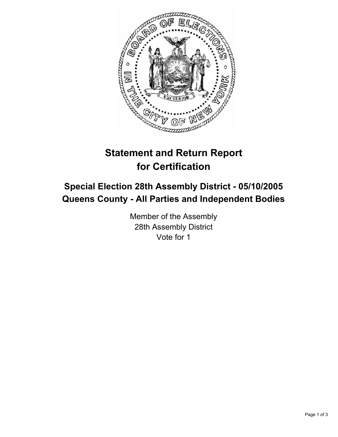

# **Statement and Return Report for Certification**

## **Special Election 28th Assembly District - 05/10/2005 Queens County - All Parties and Independent Bodies**

Member of the Assembly 28th Assembly District Vote for 1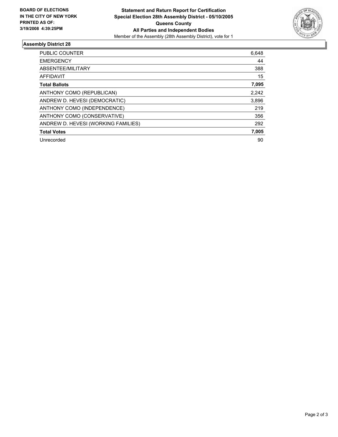

#### **Assembly District 28**

| <b>PUBLIC COUNTER</b>               | 6,648 |
|-------------------------------------|-------|
| <b>EMERGENCY</b>                    | 44    |
| ABSENTEE/MILITARY                   | 388   |
| AFFIDAVIT                           | 15    |
| <b>Total Ballots</b>                | 7,095 |
| ANTHONY COMO (REPUBLICAN)           | 2,242 |
| ANDREW D. HEVESI (DEMOCRATIC)       | 3,896 |
| ANTHONY COMO (INDEPENDENCE)         | 219   |
| ANTHONY COMO (CONSERVATIVE)         | 356   |
| ANDREW D. HEVESI (WORKING FAMILIES) | 292   |
| <b>Total Votes</b>                  | 7,005 |
| Unrecorded                          | 90    |